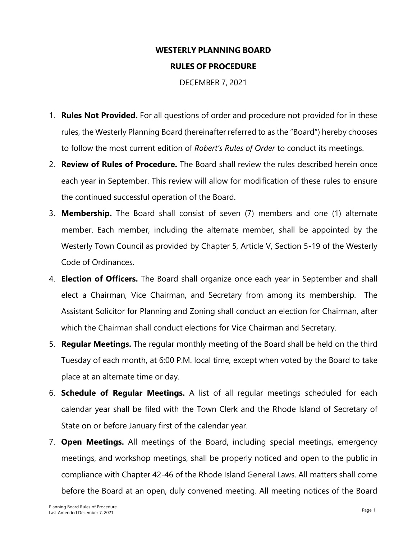## **WESTERLY PLANNING BOARD RULES OF PROCEDURE**

DECEMBER 7, 2021

- 1. **Rules Not Provided.** For all questions of order and procedure not provided for in these rules, the Westerly Planning Board (hereinafter referred to as the "Board") hereby chooses to follow the most current edition of *Robert's Rules of Order* to conduct its meetings.
- 2. **Review of Rules of Procedure.** The Board shall review the rules described herein once each year in September. This review will allow for modification of these rules to ensure the continued successful operation of the Board.
- 3. **Membership.** The Board shall consist of seven (7) members and one (1) alternate member. Each member, including the alternate member, shall be appointed by the Westerly Town Council as provided by Chapter 5, Article V, Section 5-19 of the Westerly Code of Ordinances.
- 4. **Election of Officers.** The Board shall organize once each year in September and shall elect a Chairman, Vice Chairman, and Secretary from among its membership. The Assistant Solicitor for Planning and Zoning shall conduct an election for Chairman, after which the Chairman shall conduct elections for Vice Chairman and Secretary.
- 5. **Regular Meetings.** The regular monthly meeting of the Board shall be held on the third Tuesday of each month, at 6:00 P.M. local time, except when voted by the Board to take place at an alternate time or day.
- 6. **Schedule of Regular Meetings.** A list of all regular meetings scheduled for each calendar year shall be filed with the Town Clerk and the Rhode Island of Secretary of State on or before January first of the calendar year.
- 7. **Open Meetings.** All meetings of the Board, including special meetings, emergency meetings, and workshop meetings, shall be properly noticed and open to the public in compliance with Chapter 42-46 of the Rhode Island General Laws. All matters shall come before the Board at an open, duly convened meeting. All meeting notices of the Board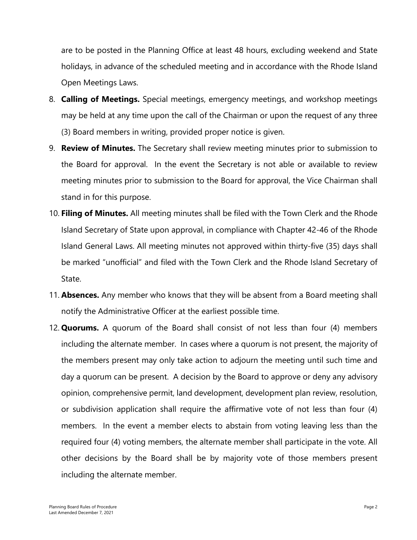are to be posted in the Planning Office at least 48 hours, excluding weekend and State holidays, in advance of the scheduled meeting and in accordance with the Rhode Island Open Meetings Laws.

- 8. **Calling of Meetings.** Special meetings, emergency meetings, and workshop meetings may be held at any time upon the call of the Chairman or upon the request of any three (3) Board members in writing, provided proper notice is given.
- 9. **Review of Minutes.** The Secretary shall review meeting minutes prior to submission to the Board for approval. In the event the Secretary is not able or available to review meeting minutes prior to submission to the Board for approval, the Vice Chairman shall stand in for this purpose.
- 10. **Filing of Minutes.** All meeting minutes shall be filed with the Town Clerk and the Rhode Island Secretary of State upon approval, in compliance with Chapter 42-46 of the Rhode Island General Laws. All meeting minutes not approved within thirty-five (35) days shall be marked "unofficial" and filed with the Town Clerk and the Rhode Island Secretary of State.
- 11. **Absences.** Any member who knows that they will be absent from a Board meeting shall notify the Administrative Officer at the earliest possible time.
- 12. **Quorums.** A quorum of the Board shall consist of not less than four (4) members including the alternate member. In cases where a quorum is not present, the majority of the members present may only take action to adjourn the meeting until such time and day a quorum can be present. A decision by the Board to approve or deny any advisory opinion, comprehensive permit, land development, development plan review, resolution, or subdivision application shall require the affirmative vote of not less than four (4) members. In the event a member elects to abstain from voting leaving less than the required four (4) voting members, the alternate member shall participate in the vote. All other decisions by the Board shall be by majority vote of those members present including the alternate member.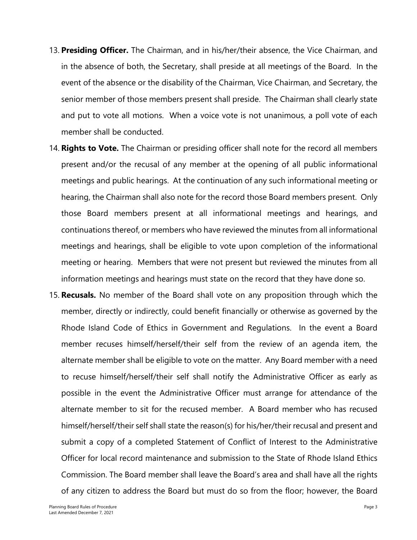- 13. **Presiding Officer.** The Chairman, and in his/her/their absence, the Vice Chairman, and in the absence of both, the Secretary, shall preside at all meetings of the Board. In the event of the absence or the disability of the Chairman, Vice Chairman, and Secretary, the senior member of those members present shall preside. The Chairman shall clearly state and put to vote all motions. When a voice vote is not unanimous, a poll vote of each member shall be conducted.
- 14. **Rights to Vote.** The Chairman or presiding officer shall note for the record all members present and/or the recusal of any member at the opening of all public informational meetings and public hearings. At the continuation of any such informational meeting or hearing, the Chairman shall also note for the record those Board members present. Only those Board members present at all informational meetings and hearings, and continuations thereof, or members who have reviewed the minutes from all informational meetings and hearings, shall be eligible to vote upon completion of the informational meeting or hearing. Members that were not present but reviewed the minutes from all information meetings and hearings must state on the record that they have done so.
- 15. **Recusals.** No member of the Board shall vote on any proposition through which the member, directly or indirectly, could benefit financially or otherwise as governed by the Rhode Island Code of Ethics in Government and Regulations. In the event a Board member recuses himself/herself/their self from the review of an agenda item, the alternate member shall be eligible to vote on the matter. Any Board member with a need to recuse himself/herself/their self shall notify the Administrative Officer as early as possible in the event the Administrative Officer must arrange for attendance of the alternate member to sit for the recused member. A Board member who has recused himself/herself/their self shall state the reason(s) for his/her/their recusal and present and submit a copy of a completed Statement of Conflict of Interest to the Administrative Officer for local record maintenance and submission to the State of Rhode Island Ethics Commission. The Board member shall leave the Board's area and shall have all the rights of any citizen to address the Board but must do so from the floor; however, the Board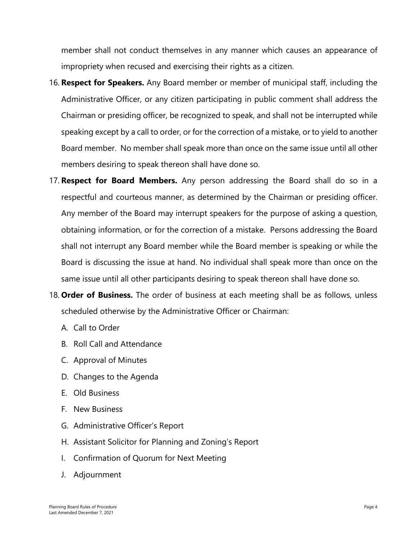member shall not conduct themselves in any manner which causes an appearance of impropriety when recused and exercising their rights as a citizen.

- 16. **Respect for Speakers.** Any Board member or member of municipal staff, including the Administrative Officer, or any citizen participating in public comment shall address the Chairman or presiding officer, be recognized to speak, and shall not be interrupted while speaking except by a call to order, or for the correction of a mistake, or to yield to another Board member. No member shall speak more than once on the same issue until all other members desiring to speak thereon shall have done so.
- 17. **Respect for Board Members.** Any person addressing the Board shall do so in a respectful and courteous manner, as determined by the Chairman or presiding officer. Any member of the Board may interrupt speakers for the purpose of asking a question, obtaining information, or for the correction of a mistake. Persons addressing the Board shall not interrupt any Board member while the Board member is speaking or while the Board is discussing the issue at hand. No individual shall speak more than once on the same issue until all other participants desiring to speak thereon shall have done so.
- 18. **Order of Business.** The order of business at each meeting shall be as follows, unless scheduled otherwise by the Administrative Officer or Chairman:
	- A. Call to Order
	- B. Roll Call and Attendance
	- C. Approval of Minutes
	- D. Changes to the Agenda
	- E. Old Business
	- F. New Business
	- G. Administrative Officer's Report
	- H. Assistant Solicitor for Planning and Zoning's Report
	- I. Confirmation of Quorum for Next Meeting
	- J. Adjournment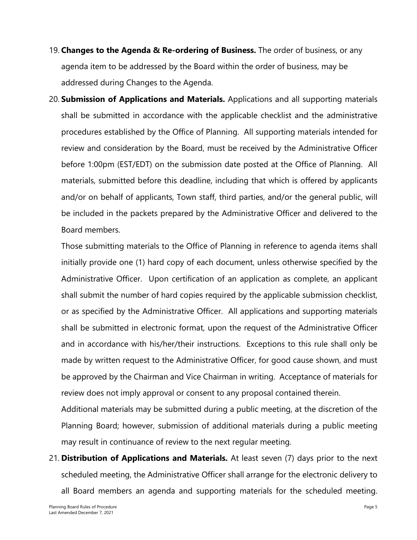- 19. **Changes to the Agenda & Re-ordering of Business.** The order of business, or any agenda item to be addressed by the Board within the order of business, may be addressed during Changes to the Agenda.
- 20. **Submission of Applications and Materials.** Applications and all supporting materials shall be submitted in accordance with the applicable checklist and the administrative procedures established by the Office of Planning. All supporting materials intended for review and consideration by the Board, must be received by the Administrative Officer before 1:00pm (EST/EDT) on the submission date posted at the Office of Planning. All materials, submitted before this deadline, including that which is offered by applicants and/or on behalf of applicants, Town staff, third parties, and/or the general public, will be included in the packets prepared by the Administrative Officer and delivered to the Board members.

Those submitting materials to the Office of Planning in reference to agenda items shall initially provide one (1) hard copy of each document, unless otherwise specified by the Administrative Officer. Upon certification of an application as complete, an applicant shall submit the number of hard copies required by the applicable submission checklist, or as specified by the Administrative Officer. All applications and supporting materials shall be submitted in electronic format, upon the request of the Administrative Officer and in accordance with his/her/their instructions. Exceptions to this rule shall only be made by written request to the Administrative Officer, for good cause shown, and must be approved by the Chairman and Vice Chairman in writing. Acceptance of materials for review does not imply approval or consent to any proposal contained therein.

Additional materials may be submitted during a public meeting, at the discretion of the Planning Board; however, submission of additional materials during a public meeting may result in continuance of review to the next regular meeting.

21. **Distribution of Applications and Materials.** At least seven (7) days prior to the next scheduled meeting, the Administrative Officer shall arrange for the electronic delivery to all Board members an agenda and supporting materials for the scheduled meeting.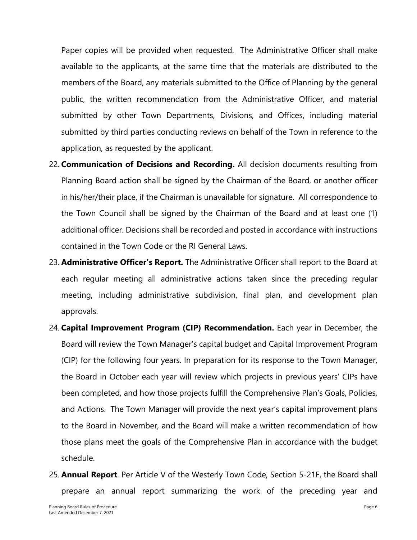Paper copies will be provided when requested. The Administrative Officer shall make available to the applicants, at the same time that the materials are distributed to the members of the Board, any materials submitted to the Office of Planning by the general public, the written recommendation from the Administrative Officer, and material submitted by other Town Departments, Divisions, and Offices, including material submitted by third parties conducting reviews on behalf of the Town in reference to the application, as requested by the applicant.

- 22. **Communication of Decisions and Recording.** All decision documents resulting from Planning Board action shall be signed by the Chairman of the Board, or another officer in his/her/their place, if the Chairman is unavailable for signature. All correspondence to the Town Council shall be signed by the Chairman of the Board and at least one (1) additional officer. Decisions shall be recorded and posted in accordance with instructions contained in the Town Code or the RI General Laws.
- 23. **Administrative Officer's Report.** The Administrative Officer shall report to the Board at each regular meeting all administrative actions taken since the preceding regular meeting, including administrative subdivision, final plan, and development plan approvals.
- 24. **Capital Improvement Program (CIP) Recommendation.** Each year in December, the Board will review the Town Manager's capital budget and Capital Improvement Program (CIP) for the following four years. In preparation for its response to the Town Manager, the Board in October each year will review which projects in previous years' CIPs have been completed, and how those projects fulfill the Comprehensive Plan's Goals, Policies, and Actions. The Town Manager will provide the next year's capital improvement plans to the Board in November, and the Board will make a written recommendation of how those plans meet the goals of the Comprehensive Plan in accordance with the budget schedule.
- 25. **Annual Report**. Per Article V of the Westerly Town Code, Section 5-21F, the Board shall prepare an annual report summarizing the work of the preceding year and